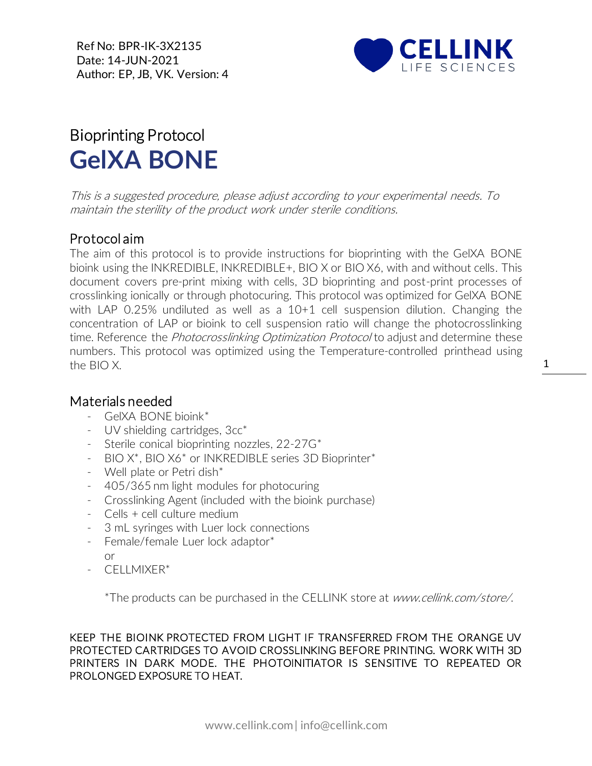Ref No: BPR-IK-3X2135 Date: 14-JUN-2021 Author: EP, JB, VK. Version: 4



## Bioprinting Protocol **GelXA BONE**

This is a suggested procedure, please adjust according to your experimental needs. To maintain the sterility of the product work under sterile conditions.

## Protocol aim

The aim of this protocol is to provide instructions for bioprinting with the GelXA BONE bioink using the INKREDIBLE, INKREDIBLE+, BIO X or BIO X6, with and without cells. This document covers pre-print mixing with cells, 3D bioprinting and post-print processes of crosslinking ionically or through photocuring. This protocol was optimized for GelXA BONE with LAP 0.25% undiluted as well as a 10+1 cell suspension dilution. Changing the concentration of LAP or bioink to cell suspension ratio will change the photocrosslinking time. Reference the *Photocrosslinking Optimization Protocol* to adjust and determine these numbers. This protocol was optimized using the Temperature-controlled printhead using the BIO X.

## Materials needed

- GelXA BONE bioink\*
- [UV](https://cellink.com/product/uv-shielding-cartridges-3cc/) shielding cartridges, 3cc<sup>\*</sup>
- Sterile conical bioprinting nozzles, 22-27G\*
- BIO X\*, BIO X6\* or INKREDIBLE series 3D Bioprinter\*
- Well plate or Petri dish\*
- 405/365 nm light modules for photocuring
- Crosslinking Agent (included with the bioink purchase)
- Cells + cell culture medium
- 3 mL syringes with Luer lock connections
- Female/female Luer lock adaptor\* or
- CELLMIXER\*

\*The products can be purchased in the CELLINK store at www.cellink.com/store/.

KEEP THE BIOINK PROTECTED FROM LIGHT IF TRANSFERRED FROM THE ORANGE UV PROTECTED CARTRIDGES TO AVOID CROSSLINKING BEFORE PRINTING. WORK WITH 3D PRINTERS IN DARK MODE. THE PHOTOINITIATOR IS SENSITIVE TO REPEATED OR PROLONGED EXPOSURE TO HEAT.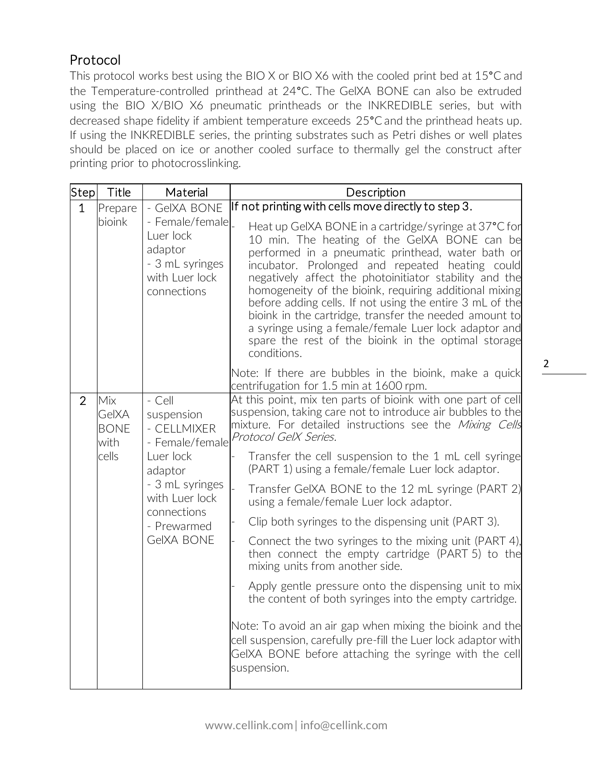## Protocol

This protocol works best using the BIO X or BIO X6 with the cooled print bed at 15<sup>°</sup>C and the Temperature-controlled printhead at 24°C. The GelXA BONE can also be extruded using the BIO X/BIO X6 pneumatic printheads or the INKREDIBLE series, but with decreased shape fidelity if ambient temperature exceeds 25°C and the printhead heats up. If using the INKREDIBLE series, the printing substrates such as Petri dishes or well plates should be placed on ice or another cooled surface to thermally gel the construct after printing prior to photocrosslinking.

| Step                                                           | Title   | Material                                                                                                                                                               | Description                                                                                                                                                                                                                                                                                                                                                                                                                                                                                                                                                                                                                                                                                                                                                                                                                                                                                                                                                    |  |
|----------------------------------------------------------------|---------|------------------------------------------------------------------------------------------------------------------------------------------------------------------------|----------------------------------------------------------------------------------------------------------------------------------------------------------------------------------------------------------------------------------------------------------------------------------------------------------------------------------------------------------------------------------------------------------------------------------------------------------------------------------------------------------------------------------------------------------------------------------------------------------------------------------------------------------------------------------------------------------------------------------------------------------------------------------------------------------------------------------------------------------------------------------------------------------------------------------------------------------------|--|
| $\mathbf{1}$<br>bioink                                         | Prepare | - GeIXA BONE<br>- Female/female<br>Luer lock<br>adaptor<br>- 3 mL syringes<br>with Luer lock<br>connections                                                            | If not printing with cells move directly to step 3.<br>Heat up GeIXA BONE in a cartridge/syringe at 37°C for<br>10 min. The heating of the GeIXA BONE can be<br>performed in a pneumatic printhead, water bath or<br>incubator. Prolonged and repeated heating could<br>negatively affect the photoinitiator stability and the<br>homogeneity of the bioink, requiring additional mixing<br>before adding cells. If not using the entire 3 mL of the<br>bioink in the cartridge, transfer the needed amount to<br>a syringe using a female/female Luer lock adaptor and<br>spare the rest of the bioink in the optimal storage<br>conditions.                                                                                                                                                                                                                                                                                                                  |  |
|                                                                |         |                                                                                                                                                                        | Note: If there are bubbles in the bioink, make a quick<br>centrifugation for 1.5 min at 1600 rpm.                                                                                                                                                                                                                                                                                                                                                                                                                                                                                                                                                                                                                                                                                                                                                                                                                                                              |  |
| $\overline{2}$<br>Mix<br>GelXA<br><b>BONE</b><br>with<br>cells |         | - Cell<br>suspension<br>- CELLMIXER<br>- Female/female<br>Luer lock<br>adaptor<br>- 3 mL syringes<br>with Luer lock<br>connections<br>- Prewarmed<br><b>GeIXA BONE</b> | At this point, mix ten parts of bioink with one part of cell<br>suspension, taking care not to introduce air bubbles to the<br>mixture. For detailed instructions see the Mixing Cells<br>Protocol GelX Series.<br>Transfer the cell suspension to the 1 mL cell syringe<br>(PART 1) using a female/female Luer lock adaptor.<br>Transfer GeIXA BONE to the 12 mL syringe (PART 2)<br>using a female/female Luer lock adaptor.<br>Clip both syringes to the dispensing unit (PART 3).<br>Connect the two syringes to the mixing unit (PART 4),<br>then connect the empty cartridge (PART 5) to the<br>mixing units from another side.<br>Apply gentle pressure onto the dispensing unit to mix<br>the content of both syringes into the empty cartridge.<br>Note: To avoid an air gap when mixing the bioink and the<br>cell suspension, carefully pre-fill the Luer lock adaptor with<br>GeIXA BONE before attaching the syringe with the cell<br>suspension. |  |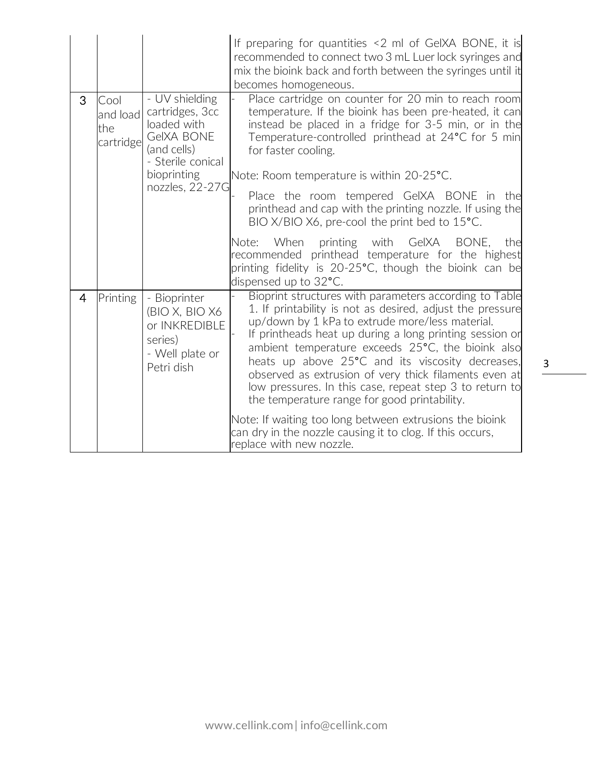|                |                                      |                                                                                                                                             | If preparing for quantities <2 ml of GeIXA BONE, it is<br>recommended to connect two 3 mL Luer lock syringes and<br>mix the bioink back and forth between the syringes until it<br>becomes homogeneous.                                                                                                                                                                                                                                                                                                                                                                   |
|----------------|--------------------------------------|---------------------------------------------------------------------------------------------------------------------------------------------|---------------------------------------------------------------------------------------------------------------------------------------------------------------------------------------------------------------------------------------------------------------------------------------------------------------------------------------------------------------------------------------------------------------------------------------------------------------------------------------------------------------------------------------------------------------------------|
| 3              | Cool<br>and load<br>the<br>cartridge | - UV shielding<br>cartridges, 3cc<br>loaded with<br><b>GeIXA BONE</b><br>(and cells)<br>- Sterile conical<br>bioprinting<br>nozzles, 22-27G | Place cartridge on counter for 20 min to reach room<br>temperature. If the bioink has been pre-heated, it can<br>instead be placed in a fridge for 3-5 min, or in the<br>Temperature-controlled printhead at 24°C for 5 min<br>for faster cooling.<br>Note: Room temperature is within 20-25°C.<br>Place the room tempered GeIXA BONE in the                                                                                                                                                                                                                              |
|                |                                      |                                                                                                                                             | printhead and cap with the printing nozzle. If using the<br>BIO X/BIO X6, pre-cool the print bed to 15°C.<br>GelXA<br>BONE,<br>When<br>printing with<br>Note:<br>the<br>recommended printhead temperature for the highest<br>printing fidelity is 20-25°C, though the bioink can be<br>dispensed up to 32°C.                                                                                                                                                                                                                                                              |
| $\overline{4}$ | Printing                             | - Bioprinter<br>(BIO X, BIO X6<br>or INKREDIBLE<br>series)<br>- Well plate or<br>Petri dish                                                 | Bioprint structures with parameters according to Table<br>1. If printability is not as desired, adjust the pressure<br>up/down by 1 kPa to extrude more/less material.<br>If printheads heat up during a long printing session or<br>ambient temperature exceeds 25°C, the bioink also<br>heats up above 25°C and its viscosity decreases,<br>observed as extrusion of very thick filaments even at<br>low pressures. In this case, repeat step 3 to return to<br>the temperature range for good printability.<br>Note: If waiting too long between extrusions the bioink |
|                |                                      |                                                                                                                                             | can dry in the nozzle causing it to clog. If this occurs,<br>replace with new nozzle.                                                                                                                                                                                                                                                                                                                                                                                                                                                                                     |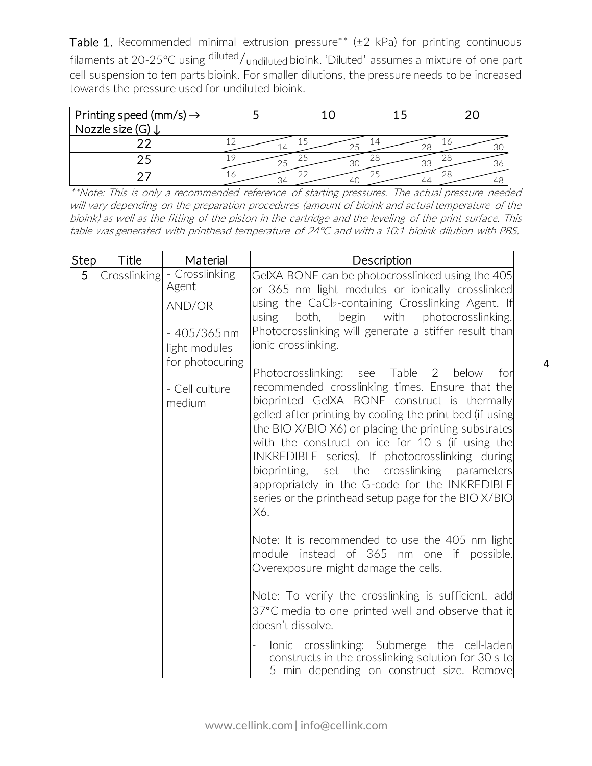Table 1. Recommended minimal extrusion pressure\*\* ( $\pm$ 2 kPa) for printing continuous filaments at 20-25°C using diluted/undiluted bioink. 'Diluted' assumes a mixture of one part cell suspension to ten parts bioink. For smaller dilutions, the pressure needs to be increased towards the pressure used for undiluted bioink.

| Printing speed (mm/s) $\rightarrow$<br>Nozzle size (G) ↓ |     |    |           |    |
|----------------------------------------------------------|-----|----|-----------|----|
|                                                          | l 4 |    | 14        | 工仁 |
|                                                          | 25  | 30 | ZΟ<br>نۍ. | ZC |
|                                                          | 34  |    | 47        |    |

\*\*Note: This is only a recommended reference of starting pressures. The actual pressure needed will vary depending on the preparation procedures (amount of bioink and actual temperature of the bioink) as well as the fitting of the piston in the cartridge and the leveling of the print surface. This table was generated with printhead temperature of 24°C and with a 10:1 bioink dilution with PBS.

| Step | Title | Material                                                                                             | Description                                                                                                                                                                                                                                                                                                                                                                                                                                                                                                                                         |
|------|-------|------------------------------------------------------------------------------------------------------|-----------------------------------------------------------------------------------------------------------------------------------------------------------------------------------------------------------------------------------------------------------------------------------------------------------------------------------------------------------------------------------------------------------------------------------------------------------------------------------------------------------------------------------------------------|
| 5    |       | $\lfloor$ Crosslinking $\rfloor$ - Crosslinking<br>Agent<br>AND/OR<br>$-405/365$ nm<br>light modules | GeIXA BONE can be photocrosslinked using the 405<br>or 365 nm light modules or ionically crosslinked<br>using the CaCl <sub>2</sub> -containing Crosslinking Agent. If<br>begin with<br>photocrosslinking.<br>using<br>both,<br>Photocrosslinking will generate a stiffer result than<br>ionic crosslinking.                                                                                                                                                                                                                                        |
|      |       | for photocuring<br>- Cell culture<br>medium                                                          | Photocrosslinking: see Table<br>2<br>below<br>for<br>recommended crosslinking times. Ensure that the<br>bioprinted GeIXA BONE construct is thermally<br>gelled after printing by cooling the print bed (if using<br>the BIO X/BIO X6) or placing the printing substrates<br>with the construct on ice for 10 s (if using the<br>INKREDIBLE series). If photocrosslinking during<br>bioprinting, set the crosslinking<br>parameters<br>appropriately in the G-code for the INKREDIBLE<br>series or the printhead setup page for the BIO X/BIO<br>X6. |
|      |       |                                                                                                      | Note: It is recommended to use the 405 nm light<br>instead of 365 nm one if<br>module<br>possible.<br>Overexposure might damage the cells.<br>Note: To verify the crosslinking is sufficient, add                                                                                                                                                                                                                                                                                                                                                   |
|      |       |                                                                                                      | 37°C media to one printed well and observe that it<br>doesn't dissolve.<br>lonic crosslinking: Submerge the cell-laden                                                                                                                                                                                                                                                                                                                                                                                                                              |
|      |       |                                                                                                      | constructs in the crosslinking solution for 30 s to<br>5 min depending on construct size. Remove                                                                                                                                                                                                                                                                                                                                                                                                                                                    |